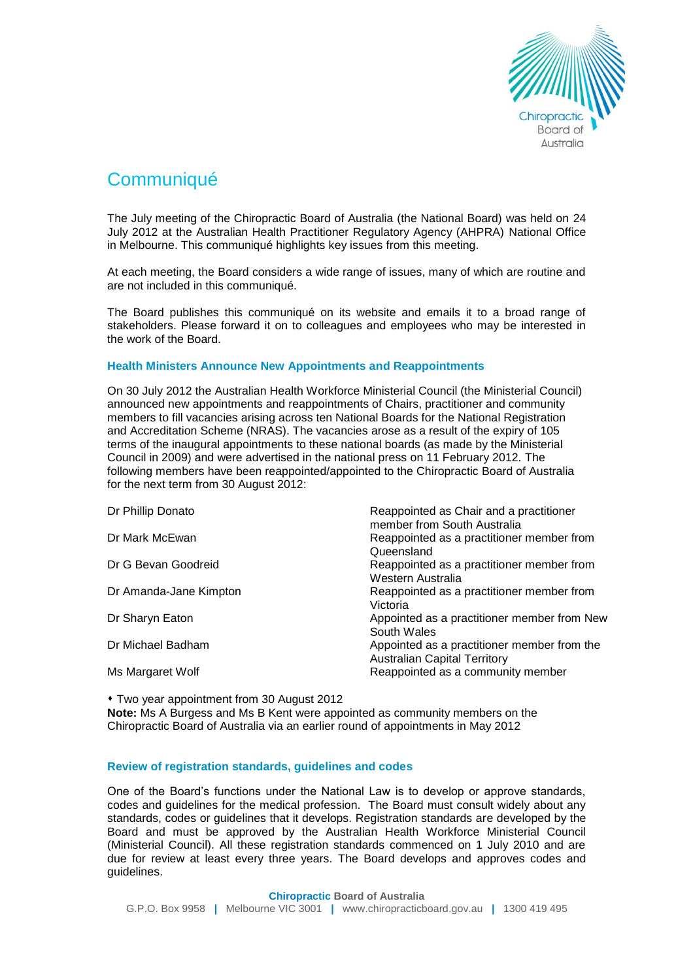

# **Communiqué**

The July meeting of the Chiropractic Board of Australia (the National Board) was held on 24 July 2012 at the Australian Health Practitioner Regulatory Agency (AHPRA) National Office in Melbourne. This communiqué highlights key issues from this meeting.

At each meeting, the Board considers a wide range of issues, many of which are routine and are not included in this communiqué.

The Board publishes this communiqué on its website and emails it to a broad range of stakeholders. Please forward it on to colleagues and employees who may be interested in the work of the Board.

## **Health Ministers Announce New Appointments and Reappointments**

On 30 July 2012 the Australian Health Workforce Ministerial Council (the Ministerial Council) announced new appointments and reappointments of Chairs, practitioner and community members to fill vacancies arising across ten National Boards for the National Registration and Accreditation Scheme (NRAS). The vacancies arose as a result of the expiry of 105 terms of the inaugural appointments to these national boards (as made by the Ministerial Council in 2009) and were advertised in the national press on 11 February 2012. The following members have been reappointed/appointed to the Chiropractic Board of Australia for the next term from 30 August 2012:

| Dr Phillip Donato      | Reappointed as Chair and a practitioner<br>member from South Australia             |
|------------------------|------------------------------------------------------------------------------------|
| Dr Mark McEwan         | Reappointed as a practitioner member from<br>Queensland                            |
| Dr G Bevan Goodreid    | Reappointed as a practitioner member from<br>Western Australia                     |
| Dr Amanda-Jane Kimpton | Reappointed as a practitioner member from<br>Victoria                              |
| Dr Sharyn Eaton        | Appointed as a practitioner member from New<br>South Wales                         |
| Dr Michael Badham      | Appointed as a practitioner member from the<br><b>Australian Capital Territory</b> |
| Ms Margaret Wolf       | Reappointed as a community member                                                  |

Two year appointment from 30 August 2012

**Note:** Ms A Burgess and Ms B Kent were appointed as community members on the Chiropractic Board of Australia via an earlier round of appointments in May 2012

### **Review of registration standards, guidelines and codes**

One of the Board's functions under the National Law is to develop or approve standards, codes and guidelines for the medical profession. The Board must consult widely about any standards, codes or guidelines that it develops. Registration standards are developed by the Board and must be approved by the Australian Health Workforce Ministerial Council (Ministerial Council). All these registration standards commenced on 1 July 2010 and are due for review at least every three years. The Board develops and approves codes and guidelines.